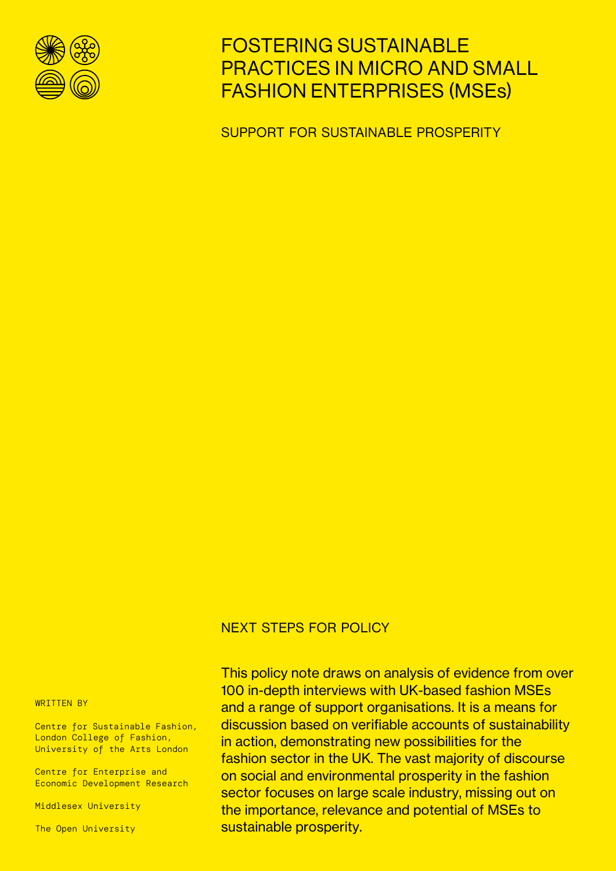

# FOSTERING SUSTAINABLE PRACTICES IN MICRO AND SMALL FASHION ENTERPRISES (MSEs)

SUPPORT FOR SUSTAINABLE PROSPERITY

# NEXT STEPS FOR POLICY

WRITTEN BY

Centre for Sustainable Fashion, London College of Fashion, University of the Arts London

Centre for Enterprise and Economic Development Research

Middlesex University

The Open University

This policy note draws on analysis of evidence from over 100 in-depth interviews with UK-based fashion MSEs and a range of support organisations. It is a means for discussion based on verifiable accounts of sustainability in action, demonstrating new possibilities for the fashion sector in the UK. The vast majority of discourse on social and environmental prosperity in the fashion sector focuses on large scale industry, missing out on the importance, relevance and potential of MSEs to sustainable prosperity.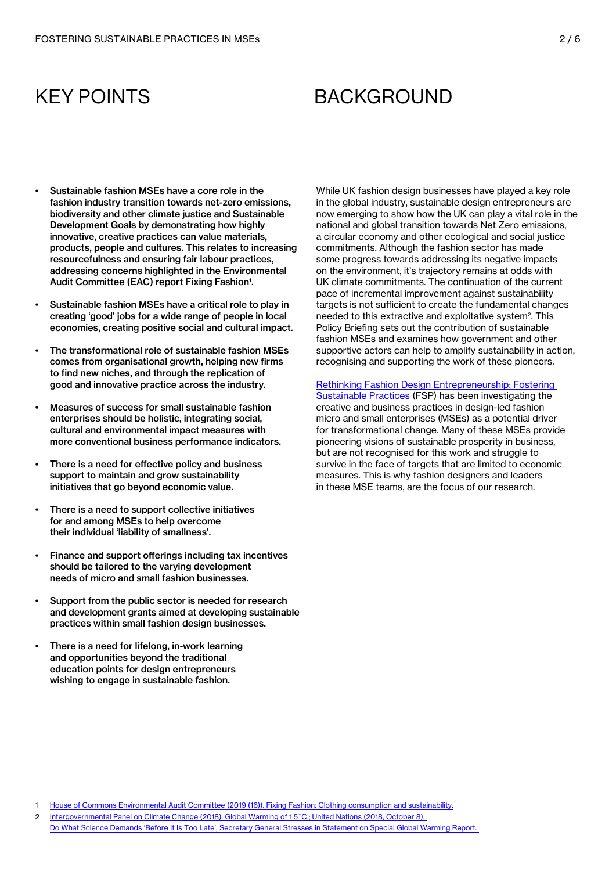# KEY POINTS

# **BACKGROUND**

- Sustainable fashion MSEs have a core role in the fashion industry transition towards net-zero emissions, biodiversity and other climate justice and Sustainable Development Goals by demonstrating how highly innovative, creative practices can value materials, products, people and cultures. This relates to increasing resourcefulness and ensuring fair labour practices, addressing concerns highlighted in the Environmental Audit Committee (EAC) report Fixing Fashion'.
- Sustainable fashion MSEs have a critical role to play in creating 'good' jobs for a wide range of people in local economies, creating positive social and cultural impact.
- The transformational role of sustainable fashion MSEs comes from organisational growth, helping new firms to find new niches, and through the replication of good and innovative practice across the industry.
- Measures of success for small sustainable fashion enterprises should be holistic, integrating social, cultural and environmental impact measures with more conventional business performance indicators.
- There is a need for effective policy and business support to maintain and grow sustainability initiatives that go beyond economic value.
- There is a need to support collective initiatives for and among MSEs to help overcome their individual 'liability of smallness'.
- Finance and support offerings including tax incentives should be tailored to the varying development needs of micro and small fashion businesses.
- Support from the public sector is needed for research and development grants aimed at developing sustainable practices within small fashion design businesses.
- There is a need for lifelong, in-work learning and opportunities beyond the traditional education points for design entrepreneurs wishing to engage in sustainable fashion.

While UK fashion design businesses have played a key role in the global industry, sustainable design entrepreneurs are now emerging to show how the UK can play a vital role in the national and global transition towards Net Zero emissions, a circular economy and other ecological and social justice commitments. Although the fashion sector has made some progress towards addressing its negative impacts on the environment, it's trajectory remains at odds with UK climate commitments. The continuation of the current pace of incremental improvement against sustainability targets is not sufficient to create the fundamental changes needed to this extractive and exploitative system<sup>2</sup>. This Policy Briefing sets out the contribution of sustainable fashion MSEs and examines how government and other supportive actors can help to amplify sustainability in action, recognising and supporting the work of these pioneers.

[Rethinking Fashion Design Entrepreneurship: Fostering](https://www.sustainable-fashion.com/fostering-sustainable-practices)  [Sustainable Practices](https://www.sustainable-fashion.com/fostering-sustainable-practices) (FSP) has been investigating the creative and business practices in design-led fashion micro and small enterprises (MSEs) as a potential driver for transformational change. Many of these MSEs provide pioneering visions of sustainable prosperity in business, but are not recognised for this work and struggle to survive in the face of targets that are limited to economic measures. This is why fashion designers and leaders in these MSE teams, are the focus of our research.

- 2 Intergovernmental Panel on Climate Change (2018). Global Warming of 1.5°C.; United Nations (2018, October 8).
- [Do What Science Demands 'Before It Is Too Late', Secretary General Stresses in Statement on Special Global Warming Report.](https://www.un.org/sg/en/content/sg/statement/2018-10-08/statement-secretary-general-ipcc-special-report-global-warming-15-%C2%BAc)

<sup>1</sup> [House of Commons Environmental Audit Committee \(2019 \(16\)\). Fixing Fashion: Clothing consumption and sustainability.](https://publications.parliament.uk/pa/cm201719/cmselect/cmenvaud/1952/1952.pdf)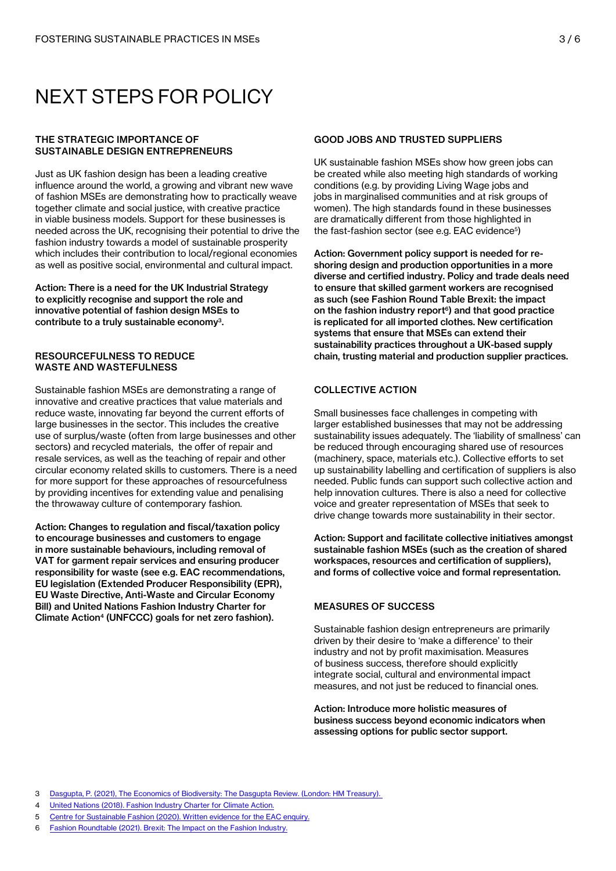# NEXT STEPS FOR POLICY

### THE STRATEGIC IMPORTANCE OF SUSTAINABLE DESIGN ENTREPRENEURS

Just as UK fashion design has been a leading creative influence around the world, a growing and vibrant new wave of fashion MSEs are demonstrating how to practically weave together climate and social justice, with creative practice in viable business models. Support for these businesses is needed across the UK, recognising their potential to drive the fashion industry towards a model of sustainable prosperity which includes their contribution to local/regional economies as well as positive social, environmental and cultural impact.

Action: There is a need for the UK Industrial Strategy to explicitly recognise and support the role and innovative potential of fashion design MSEs to contribute to a truly sustainable economy3.

### RESOURCEFULNESS TO REDUCE WASTE AND WASTEFULNESS

Sustainable fashion MSEs are demonstrating a range of innovative and creative practices that value materials and reduce waste, innovating far beyond the current efforts of large businesses in the sector. This includes the creative use of surplus/waste (often from large businesses and other sectors) and recycled materials, the offer of repair and resale services, as well as the teaching of repair and other circular economy related skills to customers. There is a need for more support for these approaches of resourcefulness by providing incentives for extending value and penalising the throwaway culture of contemporary fashion.

Action: Changes to regulation and fiscal/taxation policy to encourage businesses and customers to engage in more sustainable behaviours, including removal of VAT for garment repair services and ensuring producer responsibility for waste (see e.g. EAC recommendations, EU legislation (Extended Producer Responsibility (EPR), EU Waste Directive, Anti-Waste and Circular Economy Bill) and United Nations Fashion Industry Charter for Climate Action<sup>4</sup> (UNFCCC) goals for net zero fashion).

### GOOD JOBS AND TRUSTED SUPPLIERS

UK sustainable fashion MSEs show how green jobs can be created while also meeting high standards of working conditions (e.g. by providing Living Wage jobs and jobs in marginalised communities and at risk groups of women). The high standards found in these businesses are dramatically different from those highlighted in the fast-fashion sector (see e.g. EAC evidence<sup>5</sup>)

Action: Government policy support is needed for reshoring design and production opportunities in a more diverse and certified industry. Policy and trade deals need to ensure that skilled garment workers are recognised as such (see Fashion Round Table Brexit: the impact on the fashion industry report $6$ ) and that good practice is replicated for all imported clothes. New certification systems that ensure that MSEs can extend their sustainability practices throughout a UK-based supply chain, trusting material and production supplier practices.

# COLLECTIVE ACTION

Small businesses face challenges in competing with larger established businesses that may not be addressing sustainability issues adequately. The 'liability of smallness' can be reduced through encouraging shared use of resources (machinery, space, materials etc.). Collective efforts to set up sustainability labelling and certification of suppliers is also needed. Public funds can support such collective action and help innovation cultures. There is also a need for collective voice and greater representation of MSEs that seek to drive change towards more sustainability in their sector.

Action: Support and facilitate collective initiatives amongst sustainable fashion MSEs (such as the creation of shared workspaces, resources and certification of suppliers), and forms of collective voice and formal representation.

# MEASURES OF SUCCESS

Sustainable fashion design entrepreneurs are primarily driven by their desire to 'make a difference' to their industry and not by profit maximisation. Measures of business success, therefore should explicitly integrate social, cultural and environmental impact measures, and not just be reduced to financial ones.

Action: Introduce more holistic measures of business success beyond economic indicators when assessing options for public sector support.

- 3 [Dasgupta, P. \(2021\), The Economics of Biodiversity: The Dasgupta Review. \(London: HM Treasury\).](https://assets.publishing.service.gov.uk/government/uploads/system/uploads/attachment_data/file/962785/The_Economics_of_Biodiversity_The_Dasgupta_Review_Full_Report.pdf)
- 4 [United Nations \(2018\). Fashion Industry Charter for Climate Action.](https://unfccc.int/sites/default/files/resource/Industry%20Charter%20%20Fashion%20and%20Climate%20Action%20-%2022102018.pdf)
- 5 [Centre for Sustainable Fashion \(2020\). Written evidence for the EAC enquiry.](https://committees.parliament.uk/writtenevidence/15041/pdf/)
- 6 [Fashion Roundtable \(2021\). Brexit: The Impact on the Fashion Industry.](https://www.fashionroundtable.co.uk/brexit-report-follow-up-may-2021)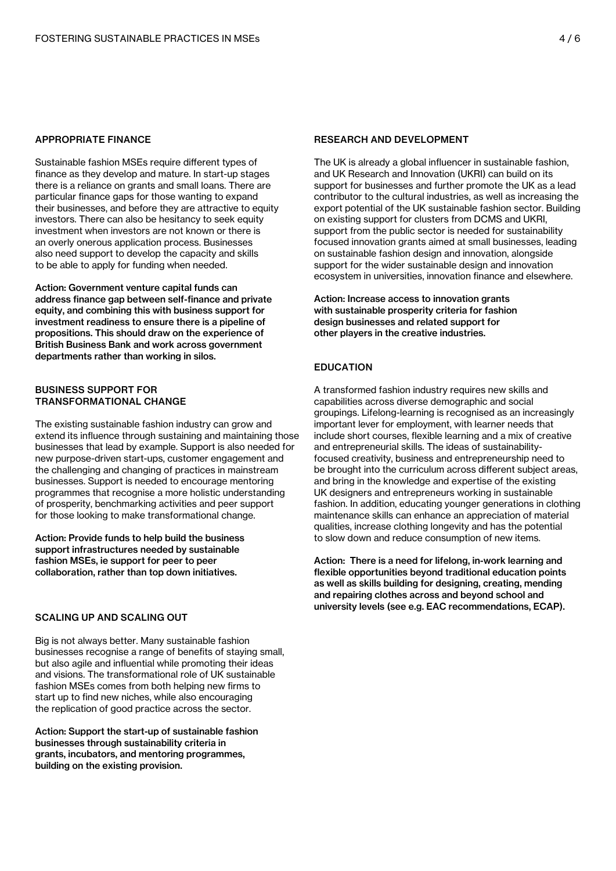#### APPROPRIATE FINANCE

Sustainable fashion MSEs require different types of finance as they develop and mature. In start-up stages there is a reliance on grants and small loans. There are particular finance gaps for those wanting to expand their businesses, and before they are attractive to equity investors. There can also be hesitancy to seek equity investment when investors are not known or there is an overly onerous application process. Businesses also need support to develop the capacity and skills to be able to apply for funding when needed.

Action: Government venture capital funds can address finance gap between self-finance and private equity, and combining this with business support for investment readiness to ensure there is a pipeline of propositions. This should draw on the experience of British Business Bank and work across government departments rather than working in silos.

### BUSINESS SUPPORT FOR TRANSFORMATIONAL CHANGE

The existing sustainable fashion industry can grow and extend its influence through sustaining and maintaining those businesses that lead by example. Support is also needed for new purpose-driven start-ups, customer engagement and the challenging and changing of practices in mainstream businesses. Support is needed to encourage mentoring programmes that recognise a more holistic understanding of prosperity, benchmarking activities and peer support for those looking to make transformational change.

Action: Provide funds to help build the business support infrastructures needed by sustainable fashion MSEs, ie support for peer to peer collaboration, rather than top down initiatives.

### SCALING UP AND SCALING OUT

Big is not always better. Many sustainable fashion businesses recognise a range of benefits of staying small, but also agile and influential while promoting their ideas and visions. The transformational role of UK sustainable fashion MSEs comes from both helping new firms to start up to find new niches, while also encouraging the replication of good practice across the sector.

Action: Support the start-up of sustainable fashion businesses through sustainability criteria in grants, incubators, and mentoring programmes, building on the existing provision.

### RESEARCH AND DEVELOPMENT

The UK is already a global influencer in sustainable fashion, and UK Research and Innovation (UKRI) can build on its support for businesses and further promote the UK as a lead contributor to the cultural industries, as well as increasing the export potential of the UK sustainable fashion sector. Building on existing support for clusters from DCMS and UKRI, support from the public sector is needed for sustainability focused innovation grants aimed at small businesses, leading on sustainable fashion design and innovation, alongside support for the wider sustainable design and innovation ecosystem in universities, innovation finance and elsewhere.

Action: Increase access to innovation grants with sustainable prosperity criteria for fashion design businesses and related support for other players in the creative industries.

# EDUCATION

A transformed fashion industry requires new skills and capabilities across diverse demographic and social groupings. Lifelong-learning is recognised as an increasingly important lever for employment, with learner needs that include short courses, flexible learning and a mix of creative and entrepreneurial skills. The ideas of sustainabilityfocused creativity, business and entrepreneurship need to be brought into the curriculum across different subject areas, and bring in the knowledge and expertise of the existing UK designers and entrepreneurs working in sustainable fashion. In addition, educating younger generations in clothing maintenance skills can enhance an appreciation of material qualities, increase clothing longevity and has the potential to slow down and reduce consumption of new items.

Action: There is a need for lifelong, in-work learning and flexible opportunities beyond traditional education points as well as skills building for designing, creating, mending and repairing clothes across and beyond school and university levels (see e.g. EAC recommendations, ECAP).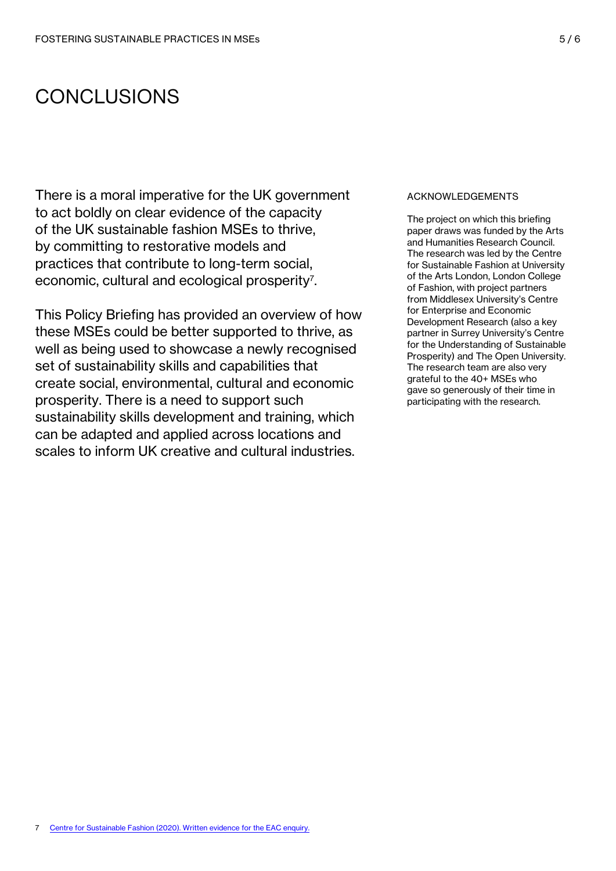# CONCLUSIONS

There is a moral imperative for the UK government to act boldly on clear evidence of the capacity of the UK sustainable fashion MSEs to thrive, by committing to restorative models and practices that contribute to long-term social, economic, cultural and ecological prosperity<sup>7</sup>.

This Policy Briefing has provided an overview of how these MSEs could be better supported to thrive, as well as being used to showcase a newly recognised set of sustainability skills and capabilities that create social, environmental, cultural and economic prosperity. There is a need to support such sustainability skills development and training, which can be adapted and applied across locations and scales to inform UK creative and cultural industries.

#### ACKNOWLEDGEMENTS

The project on which this briefing paper draws was funded by the Arts and Humanities Research Council. The research was led by the Centre for Sustainable Fashion at University of the Arts London, London College of Fashion, with project partners from Middlesex University's Centre for Enterprise and Economic Development Research (also a key partner in Surrey University's Centre for the Understanding of Sustainable Prosperity) and The Open University. The research team are also very grateful to the 40+ MSEs who gave so generously of their time in participating with the research.